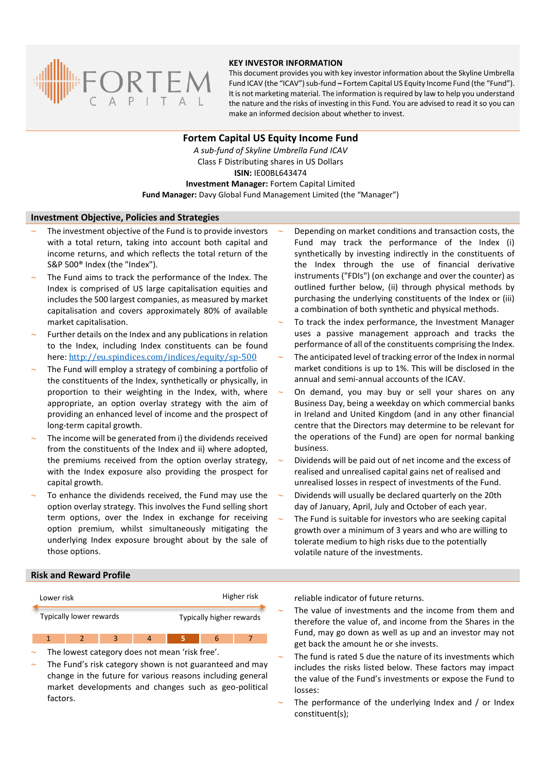

## **KEY INVESTOR INFORMATION**

This document provides you with key investor information about the Skyline Umbrella Fund ICAV (the "ICAV") sub-fund **–** Fortem Capital US Equity Income Fund (the "Fund"). It is not marketing material. The information is required by law to help you understand the nature and the risks of investing in this Fund. You are advised to read it so you can make an informed decision about whether to invest.

# **Fortem Capital US Equity Income Fund**

*A sub-fund of Skyline Umbrella Fund ICAV* Class F Distributing shares in US Dollars **ISIN:** IE00BL643474 **Investment Manager:** Fortem Capital Limited

# **Fund Manager:** Davy Global Fund Management Limited (the "Manager")

## **Investment Objective, Policies and Strategies**

- The investment objective of the Fund is to provide investors with a total return, taking into account both capital and income returns, and which reflects the total return of the S&P 500® Index (the "Index").
- The Fund aims to track the performance of the Index. The Index is comprised of US large capitalisation equities and includes the 500 largest companies, as measured by market capitalisation and covers approximately 80% of available market capitalisation.
- Further details on the Index and any publications in relation to the Index, including Index constituents can be found here: <http://eu.spindices.com/indices/equity/sp-500>
- The Fund will employ a strategy of combining a portfolio of the constituents of the Index, synthetically or physically, in proportion to their weighting in the Index, with, where appropriate, an option overlay strategy with the aim of providing an enhanced level of income and the prospect of long-term capital growth.
- The income will be generated from i) the dividends received from the constituents of the Index and ii) where adopted, the premiums received from the option overlay strategy, with the Index exposure also providing the prospect for capital growth.
- To enhance the dividends received, the Fund may use the option overlay strategy. This involves the Fund selling short term options, over the Index in exchange for receiving option premium, whilst simultaneously mitigating the underlying Index exposure brought about by the sale of those options.
- Depending on market conditions and transaction costs, the Fund may track the performance of the Index (i) synthetically by investing indirectly in the constituents of the Index through the use of financial derivative instruments ("FDIs") (on exchange and over the counter) as outlined further below, (ii) through physical methods by purchasing the underlying constituents of the Index or (iii) a combination of both synthetic and physical methods.
- To track the index performance, the Investment Manager uses a passive management approach and tracks the performance of all of the constituents comprising the Index.
- The anticipated level of tracking error of the Index in normal market conditions is up to 1%. This will be disclosed in the annual and semi-annual accounts of the ICAV.
- On demand, you may buy or sell your shares on any Business Day, being a weekday on which commercial banks in Ireland and United Kingdom (and in any other financial centre that the Directors may determine to be relevant for the operations of the Fund) are open for normal banking business.
- Dividends will be paid out of net income and the excess of realised and unrealised capital gains net of realised and unrealised losses in respect of investments of the Fund.
- Dividends will usually be declared quarterly on the 20th day of January, April, July and October of each year.
- The Fund is suitable for investors who are seeking capital growth over a minimum of 3 years and who are willing to tolerate medium to high risks due to the potentially volatile nature of the investments.

#### **Risk and Reward Profile**



- The lowest category does not mean 'risk free'.
- The Fund's risk category shown is not guaranteed and may change in the future for various reasons including general market developments and changes such as geo-political factors.

reliable indicator of future returns.

- The value of investments and the income from them and therefore the value of, and income from the Shares in the Fund, may go down as well as up and an investor may not get back the amount he or she invests.
- The fund is rated 5 due the nature of its investments which includes the risks listed below. These factors may impact the value of the Fund's investments or expose the Fund to losses:
- The performance of the underlying Index and / or Index constituent(s);